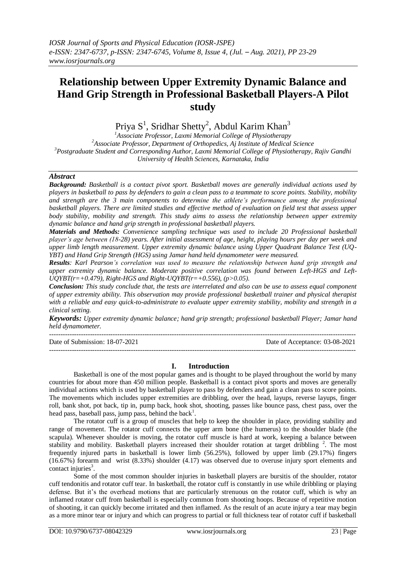# **Relationship between Upper Extremity Dynamic Balance and Hand Grip Strength in Professional Basketball Players-A Pilot study**

Priya S<sup>1</sup>, Sridhar Shetty<sup>2</sup>, Abdul Karim Khan<sup>3</sup>

*Associate Professor, Laxmi Memorial College of Physiotherapy Associate Professor, Department of Orthopedics, Aj Institute of Medical Science Postgraduate Student and Corresponding Author, Laxmi Memorial College of Physiotherapy, Rajiv Gandhi University of Health Sciences, Karnataka, India*

# *Abstract*

*Background: Basketball is a contact pivot sport. Basketball moves are generally individual actions used by players in basketball to pass by defenders to gain a clean pass to a teammate to score points. Stability, mobility and strength are the 3 main components to determine the athlete's performance among the professional basketball players. There are limited studies and effective method of evaluation on field test that assess upper body stability, mobility and strength. This study aims to assess the relationship between upper extremity dynamic balance and hand grip strength in professional basketball players.*

*Materials and Methods: Convenience sampling technique was used to include 20 Professional basketball player's age between (18-28) years. After initial assessment of age, height, playing hours per day per week and upper limb length measurement. Upper extremity dynamic balance using Upper Quadrant Balance Test (UQ-YBT) and Hand Grip Strength (HGS) using Jamar hand held dynamometer were measured.*

*Results: Karl Pearson's correlation was used to measure the relationship between hand grip strength and upper extremity dynamic balance. Moderate positive correlation was found between Left-HGS and Left-UQYBT(r=+0.479), Right-HGS and Right-UQYBT(r=+0.556), (p>0.05).*

*Conclusion: This study conclude that, the tests are interrelated and also can be use to assess equal component of upper extremity ability. This observation may provide professional basketball trainer and physical therapist with a reliable and easy quick-to-administrate to evaluate upper extremity stability, mobility and strength in a clinical setting.*

*Keywords: Upper extremity dynamic balance; hand grip strength; professional basketball Player; Jamar hand held dynamometer.*

| Date of Submission: 18-07-2021 | Date of Acceptance: 03-08-2021 |
|--------------------------------|--------------------------------|
|                                |                                |

# **I. Introduction**

Basketball is one of the most popular games and is thought to be played throughout the world by many countries for about more than 450 million people. Basketball is a contact pivot sports and moves are generally individual actions which is used by basketball player to pass by defenders and gain a clean pass to score points. The movements which includes upper extremities are dribbling, over the head, layups, reverse layups, finger roll, bank shot, pot back, tip in, pump back, hook shot, shooting, passes like bounce pass, chest pass, over the head pass, baseball pass, jump pass, behind the back<sup>1</sup>.

The rotator cuff is a group of muscles that help to keep the shoulder in place, providing stability and range of movement. The rotator cuff connects the upper arm bone (the humerus) to the shoulder blade (the scapula). Whenever shoulder is moving, the rotator cuff muscle is hard at work, keeping a balance between stability and mobility. Basketball players increased their shoulder rotation at target dribbling<sup>2</sup>. The most frequently injured parts in basketball is lower limb (56.25%), followed by upper limb (29.17%) fingers (16.67%) forearm and wrist (8.33%) shoulder (4.17) was observed due to overuse injury sport elements and contact injuries $3$ .

Some of the most common shoulder injuries in basketball players are bursitis of the shoulder, rotator cuff tendonitis and rotator cuff tear. In basketball, the rotator cuff is constantly in use while dribbling or playing defense. But it's the overhead motions that are particularly strenuous on the rotator cuff, which is why an inflamed rotator cuff from basketball is especially common from shooting hoops. Because of repetitive motion of shooting, it can quickly become irritated and then inflamed. As the result of an acute injury a tear may begin as a more minor tear or injury and which can progress to partial or full thickness tear of rotator cuff if basketball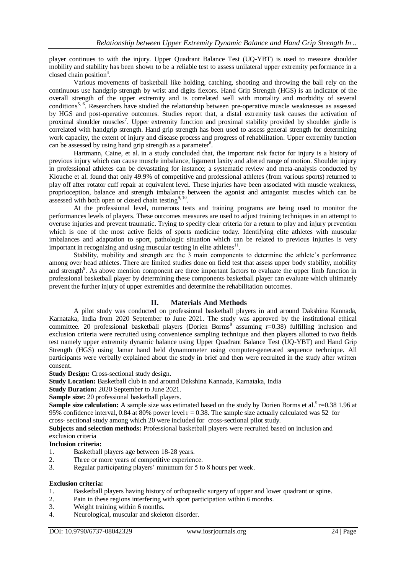player continues to with the injury*.* Upper Quadrant Balance Test (UQ-YBT) is used to measure shoulder mobility and stability has been shown to be a reliable test to assess unilateral upper extremity performance in a closed chain position<sup>4</sup>.

Various movements of basketball like holding, catching, shooting and throwing the ball rely on the continuous use handgrip strength by wrist and digits flexors. Hand Grip Strength (HGS) is an indicator of the overall strength of the upper extremity and is correlated well with mortality and morbidity of several conditions<sup>5, 6</sup>. Researchers have studied the relationship between pre-operative muscle weaknesses as assessed by HGS and post-operative outcomes. Studies report that, a distal extremity task causes the activation of proximal shoulder muscles<sup>7</sup>. Upper extremity function and proximal stability provided by shoulder girdle is correlated with handgrip strength. Hand grip strength has been used to assess general strength for determining work capacity, the extent of injury and disease process and progress of rehabilitation. Upper extremity function can be assessed by using hand grip strength as a parameter<sup>8</sup>.

Hartmann, Caine, et al. in a study concluded that, the important risk factor for injury is a history of previous injury which can cause muscle imbalance, ligament laxity and altered range of motion. Shoulder injury in professional athletes can be devastating for instance; a systematic review and meta-analysis conducted by Klouche et al. found that only 49.9% of competitive and professional athletes (from various sports) returned to play off after rotator cuff repair at equivalent level. These injuries have been associated with muscle weakness, proprioception, balance and strength imbalance between the agonist and antagonist muscles which can be assessed with both open or closed chain testing $9,10$ .

At the professional level, numerous tests and training programs are being used to monitor the performances levels of players. These outcomes measures are used to adjust training techniques in an attempt to overuse injuries and prevent traumatic. Trying to specify clear criteria for a return to play and injury prevention which is one of the most active fields of sports medicine today. Identifying elite athletes with muscular imbalances and adaptation to sport, pathologic situation which can be related to previous injuries is very important in recognizing and using muscular testing in elite athletes $11$ .

Stability, mobility and strength are the 3 main components to determine the athlete's performance among over head athletes. There are limited studies done on field test that assess upper body stability, mobility and strength<sup>9</sup>. As above mention component are three important factors to evaluate the upper limb function in professional basketball player by determining these components basketball player can evaluate which ultimately prevent the further injury of upper extremities and determine the rehabilitation outcomes.

# **II. Materials And Methods**

A pilot study was conducted on professional basketball players in and around Dakshina Kannada, Karnataka, India from 2020 September to June 2021. The study was approved by the institutional ethical committee. 20 professional basketball players (Dorien Borms<sup>9</sup> assuming  $r=0.38$ ) fulfilling inclusion and exclusion criteria were recruited using convenience sampling technique and then players allotted to two fields test namely upper extremity dynamic balance using Upper Quadrant Balance Test (UQ-YBT) and Hand Grip Strength (HGS) using Jamar hand held dynamometer using computer-generated sequence technique. All participants were verbally explained about the study in brief and then were recruited in the study after written consent.

**Study Design:** Cross-sectional study design.

**Study Location:** Basketball club in and around Dakshina Kannada, Karnataka, India

**Study Duration:** 2020 September to June 2021.

**Sample size:** 20 professional basketball players.

**Sample size calculation:** A sample size was estimated based on the study by Dorien Borms et al.<sup>9</sup>r=0.38 1.96 at 95% confidence interval, 0.84 at 80% power level  $r = 0.38$ . The sample size actually calculated was 52 for cross- sectional study among which 20 were included for cross-sectional pilot study.

**Subjects and selection methods:** Professional basketball players were recruited based on inclusion and exclusion criteria

# **Inclusion criteria:**

- 1. Basketball players age between 18-28 years.
- 2. Three or more years of competitive experience.
- 3. Regular participating players' minimum for 5 to 8 hours per week.

#### **Exclusion criteria:**

- 1. Basketball players having history of orthopaedic surgery of upper and lower quadrant or spine.
- 2. Pain in these regions interfering with sport participation within 6 months.
- 3. Weight training within 6 months.
- 4. Neurological, muscular and skeleton disorder.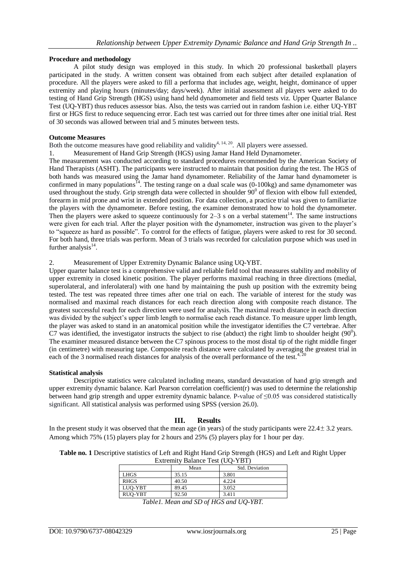#### **Procedure and methodology**

A pilot study design was employed in this study. In which 20 professional basketball players participated in the study. A written consent was obtained from each subject after detailed explanation of procedure. All the players were asked to fill a performa that includes age, weight, height, dominance of upper extremity and playing hours (minutes/day; days/week). After initial assessment all players were asked to do testing of Hand Grip Strength (HGS) using hand held dynamometer and field tests viz. Upper Quarter Balance Test (UQ-YBT) thus reduces assessor bias. Also, the tests was carried out in random fashion i.e. either UQ-YBT first or HGS first to reduce sequencing error. Each test was carried out for three times after one initial trial. Rest of 30 seconds was allowed between trial and 5 minutes between tests.

#### **Outcome Measures**

Both the outcome measures have good reliability and validity<sup>4, 14, 20</sup>. All players were assessed.

1. Measurement of Hand Grip Strength (HGS) using Jamar Hand Held Dynamometer.

The measurement was conducted according to standard procedures recommended by the American Society of Hand Therapists (ASHT). The participants were instructed to maintain that position during the test. The HGS of both hands was measured using the Jamar hand dynamometer. Reliability of the Jamar hand dynamometer is confirmed in many populations<sup>14</sup>. The testing range on a dual scale was  $(0-100kg)$  and same dynamometer was used throughout the study. Grip strength data were collected in shoulder  $90^0$  of flexion with elbow full extended, forearm in mid prone and wrist in extended position. For data collection, a practice trial was given to familiarize the players with the dynamometer. Before testing, the examiner demonstrated how to hold the dynamometer. Then the players were asked to squeeze continuously for  $2-3$  s on a verbal statement<sup>14</sup>. The same instructions were given for each trial. After the player position with the dynamometer, instruction was given to the player's to "squeeze as hard as possible". To control for the effects of fatigue, players were asked to rest for 30 second. For both hand, three trials was perform. Mean of 3 trials was recorded for calculation purpose which was used in further analysis $^{14}$ .

#### 2. Measurement of Upper Extremity Dynamic Balance using UQ-YBT.

Upper quarter balance test is a comprehensive valid and reliable field tool that measures stability and mobility of upper extremity in closed kinetic position. The player performs maximal reaching in three directions (medial, superolateral, and inferolateral) with one hand by maintaining the push up position with the extremity being tested. The test was repeated three times after one trial on each. The variable of interest for the study was normalised and maximal reach distances for each reach direction along with composite reach distance. The greatest successful reach for each direction were used for analysis. The maximal reach distance in each direction was divided by the subject's upper limb length to normalise each reach distance. To measure upper limb length, the player was asked to stand in an anatomical position while the investigator identifies the C7 vertebrae. After C7 was identified, the investigator instructs the subject to rise (abduct) the right limb to shoulder height  $(90^0)$ . The examiner measured distance between the C7 spinous process to the most distal tip of the right middle finger (in centimetre) with measuring tape. Composite reach distance were calculated by averaging the greatest trial in each of the 3 normalised reach distances for analysis of the overall performance of the test.<sup>4, 20</sup>

#### **Statistical analysis**

Descriptive statistics were calculated including means, standard devastation of hand grip strength and upper extremity dynamic balance. Karl Pearson correlation coefficient(r) was used to determine the relationship between hand grip strength and upper extremity dynamic balance. P-value of ≤0.05 was considered statistically significant. All statistical analysis was performed using SPSS (version 26.0).

#### **III. Results**

In the present study it was observed that the mean age (in years) of the study participants were  $22.4 \pm 3.2$  years. Among which 75% (15) players play for 2 hours and 25% (5) players play for 1 hour per day.

**Table no. 1** Descriptive statistics of Left and Right Hand Grip Strength (HGS) and Left and Right Upper Extremity Balance Test (UQ-YBT)

|             | Mean  | Std. Deviation |  |  |
|-------------|-------|----------------|--|--|
| LHGS        | 35.15 | 3.801          |  |  |
| <b>RHGS</b> | 40.50 | 4.224          |  |  |
| LUO-YBT     | 89.45 | 3.052          |  |  |
| RUO-YBT     | 92.50 | 3.411          |  |  |

*Table1. Mean and SD of HGS and UQ-YBT.*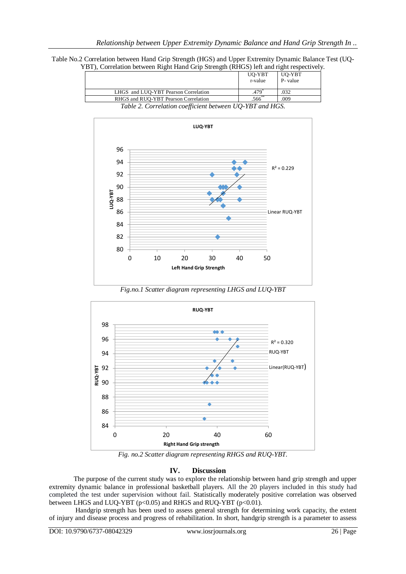Table No.2 Correlation between Hand Grip Strength (HGS) and Upper Extremity Dynamic Balance Test (UQ-YBT), Correlation between Right Hand Grip Strength (RHGS) left and right respectively.

|                                                          |                                      |  |  | UQ-YBT               | UQ-YBT  |
|----------------------------------------------------------|--------------------------------------|--|--|----------------------|---------|
|                                                          |                                      |  |  | r-value              | P-value |
|                                                          |                                      |  |  |                      |         |
|                                                          | LHGS and LUO-YBT Pearson Correlation |  |  | 479                  | .032    |
|                                                          | RHGS and RUO-YBT Pearson Correlation |  |  | $.566$ <sup>-1</sup> | .009    |
| Table 2. Correlation coefficient between UQ-YBT and HGS. |                                      |  |  |                      |         |



*Fig.no.1 Scatter diagram representing LHGS and LUQ-YBT*



*Fig. no.2 Scatter diagram representing RHGS and RUQ-YBT.*

# **IV. Discussion**

The purpose of the current study was to explore the relationship between hand grip strength and upper extremity dynamic balance in professional basketball players. All the 20 players included in this study had completed the test under supervision without fail. Statistically moderately positive correlation was observed between LHGS and LUQ-YBT (p<0.05) and RHGS and RUQ-YBT (p<0.01).

Handgrip strength has been used to assess general strength for determining work capacity, the extent of injury and disease process and progress of rehabilitation. In short, handgrip strength is a parameter to assess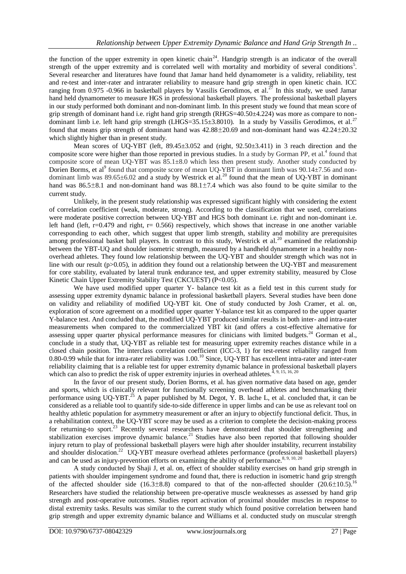the function of the upper extremity in open kinetic chain<sup>24</sup>. Handgrip strength is an indicator of the overall strength of the upper extremity and is correlated well with mortality and morbidity of several conditions<sup>5</sup>. Several researcher and literatures have found that Jamar hand held dynamometer is a validity, reliability, test and re-test and inter-rater and intrarater reliability to measure hand grip strength in open kinetic chain. ICC ranging from 0.975 -0.966 in basketball players by Vassilis Gerodimos, et al.<sup>27</sup> In this study, we used Jamar hand held dynamometer to measure HGS in professional basketball players. The professional basketball players in our study performed both dominant and non-dominant limb. In this present study we found that mean score of grip strength of dominant hand i.e. right hand grip strength (RHGS=40.50±4.224) was more as compare to nondominant limb i.e. left hand grip strength (LHGS=35.15±3.8010). In a study by Vassilis Gerodimos, et al.<sup>27</sup> found that means grip strength of dominant hand was 42.88±20.69 and non-dominant hand was 42.24±20.32 which slightly higher than in present study.

Mean scores of UQ-YBT (left, 89.45±3.052 and (right, 92.50±3.411) in 3 reach direction and the composite score were higher than those reported in previous studies. In a study by Gorman PP, et al.<sup>4</sup> found that composite score of mean UQ-YBT was 85.1±8.0 which less then present study. Another study conducted by Dorien Borms, et al<sup>9</sup> found that composite score of mean UQ-YBT in dominant limb was 90.14±7.56 and nondominant limb was  $89.65\pm6.02$  and a study by Westrick et al.<sup>20</sup> found that the mean of UQ-YBT in dominant hand was  $86.5\pm8.1$  and non-dominant hand was  $88.1\pm7.4$  which was also found to be quite similar to the current study.

Unlikely, in the present study relationship was expressed significant highly with considering the extent of correlation coefficient (weak, moderate, strong). According to the classification that we used, correlations were moderate positive correction between UQ-YBT and HGS both dominant i.e. right and non-dominant i.e. left hand (left,  $r=0.479$  and right,  $r=0.566$ ) respectively, which shows that increase in one another variable corresponding to each other, which suggest that upper limb strength, stability and mobility are prerequisites among professional basket ball players. In contrast to this study, Westrick et al.<sup>20</sup> examined the relationship between the YBT-UQ and shoulder isometric strength, measured by a handheld dynamometer in a healthy nonoverhead athletes. They found low relationship between the UQ-YBT and shoulder strength which was not in line with our result ( $p>0.05$ ), in addition they found out a relationship between the UO-YBT and measurement for core stability, evaluated by lateral trunk endurance test, and upper extremity stability, measured by Close Kinetic Chain Upper Extremity Stability Test (CKCUEST) (P<0.05).

We have used modified upper quarter Y- balance test kit as a field test in this current study for assessing upper extremity dynamic balance in professional basketball players. Several studies have been done on validity and reliability of modified UQ-YBT kit. One of study conducted by Josh Cramer, et al. on, exploration of score agreement on a modified upper quarter Y-balance test kit as compared to the upper quarter Y-balance test. And concluded that, the modified UQ-YBT produced similar results in both inter- and intra-rater measurements when compared to the commercialized YBT kit (and offers a cost-effective alternative for assessing upper quarter physical performance measures for clinicians with limited budgets.<sup>24</sup> Gorman et al., conclude in a study that, UQ-YBT as reliable test for measuring upper extremity reaches distance while in a closed chain position. The interclass correlation coefficient (ICC-3, 1) for test-retest reliability ranged from 0.80-0.99 while that for intra-rater reliability was 1.00.<sup>10</sup> Since, UQ-YBT has excellent intra-rater and inter-rater reliability claiming that is a reliable test for upper extremity dynamic balance in professional basketball players which can also to predict the risk of upper extremity injuries in overhead athletes.<sup> $4, 9, 15, 16, 20$ </sup>

In the favor of our present study, Dorien Borms, et al. has given normative data based on age, gender and sports, which is clinically relevant for functionally screening overhead athletes and benchmarking their performance using UQ-YBT.<sup>25</sup> A paper published by M. Degot, Y. B. lache L, et al. concluded that, it can be considered as a reliable tool to quantify side-to-side difference in upper limbs and can be use as relevant tool on healthy athletic population for asymmetry measurement or after an injury to objectify functional deficit. Thus, in a rehabilitation context, the UQ-YBT score may be used as a criterion to complete the decision-making process for returning-to sport.<sup>23</sup> Recently several researchers have demonstrated that shoulder strengthening and stabilization exercises improve dynamic balance.<sup>21</sup> Studies have also been reported that following shoulder injury return to play of professional basketball players were high after shoulder instability, recurrent instability and shoulder dislocation.<sup>22</sup> UQ-YBT measure overhead athletes performance (professional basketball players) and can be used as injury-prevention efforts on examining the ability of performance.<sup>8, 9, 10, 20</sup>

A study conducted by Shaji J, et al. on, effect of shoulder stability exercises on hand grip strength in patients with shoulder impingement syndrome and found that, there is reduction in isometric hand grip strength of the affected shoulder side (16.3 $\pm$ 8.8) compared to that of the non-affected shoulder (20.6 $\pm$ 10.5).<sup>16</sup> Researchers have studied the relationship between pre-operative muscle weaknesses as assessed by hand grip strength and post-operative outcomes. Studies report activation of proximal shoulder muscles in response to distal extremity tasks. Results was similar to the current study which found positive correlation between hand grip strength and upper extremity dynamic balance and Williams et al. conducted study on muscular strength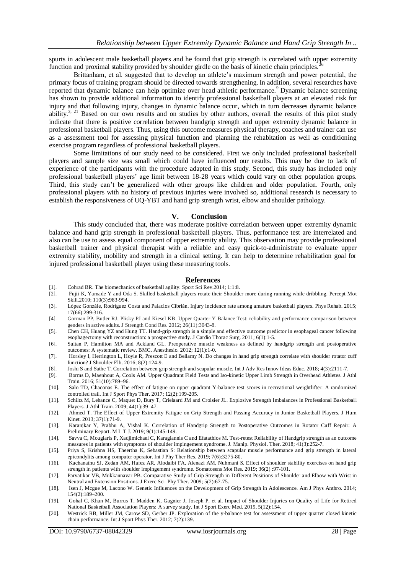spurts in adolescent male basketball players and he found that grip strength is correlated with upper extremity function and proximal stability provided by shoulder girdle on the basis of kinetic chain principles.

Brittanham, et al. suggested that to develop an athlete's maximum strength and power potential, the primary focus of training program should be directed towards strengthening. In addition, several researches have reported that dynamic balance can help optimize over head athletic performance.<sup>9</sup> Dynamic balance screening has shown to provide additional information to identify professional basketball players at an elevated risk for injury and that following injury, changes in dynamic balance occur, which in turn decreases dynamic balance ability.<sup>3, 21</sup> Based on our own results and on studies by other authors, overall the results of this pilot study indicate that there is positive correlation between handgrip strength and upper extremity dynamic balance in professional basketball players. Thus, using this outcome measures physical therapy, coaches and trainer can use as a assessment tool for assessing physical function and planning the rehabitation as well as conditioning exercise program regardless of professional basketball players.

Some limitations of our study need to be considered. First we only included professional basketball players and sample size was small which could have influenced our results. This may be due to lack of experience of the participants with the procedure adapted in this study. Second, this study has included only professional basketball players' age limit between 18-28 years which could vary on other population groups. Third, this study can't be generalized with other groups like children and older population. Fourth, only professional players with no history of previous injuries were involved so, additional research is necessary to establish the responsiveness of UQ-YBT and hand grip strength wrist, elbow and shoulder pathology.

#### **V. Conclusion**

This study concluded that, there was moderate positive correlation between upper extremity dynamic balance and hand grip strength in professional basketball players. Thus, performance test are interrelated and also can be use to assess equal component of upper extremity ability. This observation may provide professional basketball trainer and physical therapist with a reliable and easy quick-to-administrate to evaluate upper extremity stability, mobility and strength in a clinical setting. It can help to determine rehabilitation goal for injured professional basketball player using these measuring tools.

#### **References**

- [1]. Cohrad BR. The biomechanics of basketball agility. Sport Sci Rev.2014; 1:1:8.
- [2]. Fujii K, Yamade Y and Oda S. Skilled basketball players rotate their Shoulder more during running while dribbling. Percept Mot Skill.2010; 110(3):983-994.
- [3]. López Gonzále, Rodríguez Costa and Palacios Cibrián. Injury incidence rate among amature basketball players. Phys Rehab. 2015; 17(66):299-316.
- [4]. Gorman PP, Butler RJ, Plisky PJ and Kiesel KB. Upper Quarter Y Balance Test: reliability and performance comparison between genders in active adults. J Strength Cond Res. 2012; 26(11):3043-8.
- [5]. Chen CH, Huang YZ and Hung TT. Hand-grip strength is a simple and effective outcome predictor in esophageal cancer following esophagectomy with reconstruction: a prospective study. J Cardio Thorac Surg. 2011; 6(1):1-5.
- [6]. Sultan P, Hamilton MA and Ackland GL. Preoperative muscle weakness as defined by handgrip strength and postoperative outcomes: A systematic review. BMC. Anesthesio. 2012; 12(1):1-0.
- [7]. Horsley I, Herrington L, Hoyle R, Prescott E and Bellamy N. Do changes in hand grip strength correlate with shoulder rotator cuff function? J Shoulder Elb. 2016; 8(2):124-9.
- [8]. Joshi S and Sathe T. Correlation between grip strength and scapular muscle. Int J Adv Res Innov Ideas Educ. 2018; 4(3):2111-7.
- [9]. Borms D, Maenhout A, Cools AM. Upper Quadrant Field Tests and Iso-kinetic Upper Limb Strength in Overhead Athletes. J Athl Train. 2016; 51(10):789–96.
- [10]. Salo TD, Chaconas E. The effect of fatigue on upper quadrant Y-balance test scores in recreational weightlifter: A randomized controlled trail. Int J Sport Phys Ther. 2017; 12(2):199-205.
- [11]. Schiltz M, Lehance C, Maquet D, Bury T, Crielaard JM and Croisier JL. Explosive Strength Imbalances in Professional Basketball Players. J Athl Train. 2009; 44(1):39–47.
- [12]. Ahmed T. The Effect of Upper Extremity Fatigue on Grip Strength and Passing Accuracy in Junior Basketball Players. J Hum Kinet. 2013; 37(1):71-9.
- [13]. Karanjkar Y, Prabhu A, Vishal K. Correlation of Handgrip Strength to Postoperative Outcomes in Rotator Cuff Repair: A Preliminary Report. M L T J. 2019; 9(1):145-149.
- [14]. Savva C, Mougiaris P, Xadjimichael C, Karagiannis C and Efatathios M. Test-retest Reliability of Handgrip strength as an outcome measures in patients with symptoms of shoulder impingement syndrome. J. Manip. Physiol. Ther. 2018; 41(3):252-7.
- [15]. Priya S, Krishna HS, Theertha K, Sebastian S: Relationship between scapular muscle performance and grip strength in lateral epicondylits among computer operator. Int J Phy Ther Res. 2019; 7(6):3275-80.
- [16]. Kachanathu SJ, Zedan AM, Hafez AR, Alodaibi FA, Alenazi AM, Nuhmani S. Effect of shoulder stability exercises on hand grip strength in patients with shoulder impingement syndrome. Somatosens Mot Res. 2019; 36(2) :97-101.
- [17]. [Parvatikar VB,](https://search.informit.com.au/search;search=author%3D%22Parvatikar,%20VB%22;action=doSearch) [Mukkannavar PB.](https://search.informit.com.au/search;search=author%3D%22Mukkannavar,%20PB%22;action=doSearch) Comparative Study of Grip Strength in Different Positions of Shoulder and Elbow with Wrist in Neutral and Extension Positions. J Exerc Sci Phy Ther. 2009; 5(2):67-75.
- [18]. Isen J, Mcgue M, Lacono W. Genetic Influences on the Development of Grip Strength in Adolescence. Am J Phys Anthro. 2014; 154(2):189–200.
- [19]. Gohal C, Khan M, Burrus T, Madden K, Gagnier J, Joseph P, et al. Impact of Shoulder Injuries on Quality of Life for Retired National Basketball Association Players: A survey study. Int J Sport Exerc Med. 2019, 5(12):154.
- [20]. Westrick RB, Miller JM, Carow SD, Gerber JP. Exploration of the y-balance test for assessment of upper quarter closed kinetic chain performance. Int J Sport Phys Ther. 2012; 7(2):139.